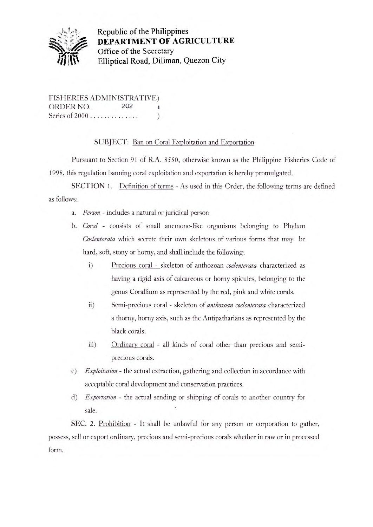

Republic of the Philippines DEPARTMENT OF AGRICULTURE **Office of the Secretary** Elliptical Road, Diliman, Quezon City

FISHERIES ADMINISTRATIVE) ORDER NO. 202 Series of 2000..............)

SUBJECT: Ban on Coral Exploitation and Exportation

Pursuant to Section 91 of R.A. 8550, otherwise known as the Philippine Fisheries Code of 1998, this regulation banning coral exploitation and exportation is hereby promulgated.

SECTION 1. Definition of terms - As used in this Order, the following terms are defined as follows:

- *a. Person*  includes a natural or juridical person
- *b. Coral*  consists of small anemone-like organisms belonging to Phylum *Coelenterata* which secrete their own skeletons of various forms that may be hard, soft, stony or horny, and shall include the following:
	- i) Precious coral skeleton of anthozoan *coelenterata* characterized as having a rigid axis of calcareous or horny spicules, belonging to the genus Corallium as represented by the red, pink and white corals.
	- ii) Semi-precious coral skeleton of *anthowan coelenterata* characterized a thorny, horny axis, such as the Antipatharians as represented by the black corals.
	- iii) Ordinary coral all kinds of coral other than precious and semiprecious corals.
- *c) Exploitation*  the actual extraction, gathering and collection in accordance with acceptable coral development and conservation practices.
- *d) Exportation*  the actual sending or shipping of corals to another country for sale.

SEC. 2. Prohibition - It shall be unlawful for any person or corporation to gather, possess, sell or export ordinary, precious and semi-precious corals whether in raw or in processed form.